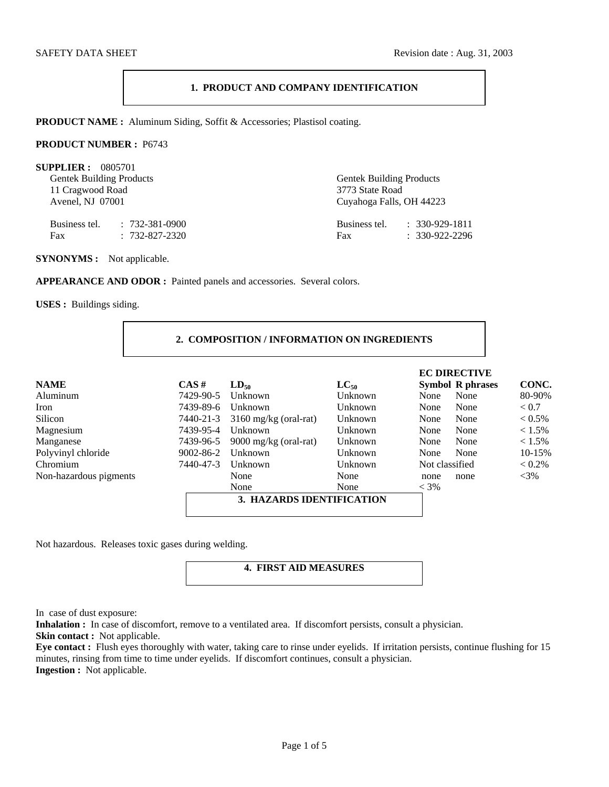# **1. PRODUCT AND COMPANY IDENTIFICATION**

**PRODUCT NAME :** Aluminum Siding, Soffit & Accessories; Plastisol coating.

### **PRODUCT NUMBER :** P6743

| SUPPLIER: 0805701<br><b>Gentek Building Products</b><br>11 Cragwood Road<br>Avenel, NJ 07001 |                                                      | <b>Gentek Building Products</b><br>3773 State Road<br>Cuyahoga Falls, OH 44223 |                                                  |  |
|----------------------------------------------------------------------------------------------|------------------------------------------------------|--------------------------------------------------------------------------------|--------------------------------------------------|--|
| Fax                                                                                          | Business tel. : 732-381-0900<br>$: 732 - 827 - 2320$ | Fax                                                                            | Business tel. : 330-929-1811<br>$: 330-922-2296$ |  |

**SYNONYMS :** Not applicable.

APPEARANCE AND ODOR : Painted panels and accessories. Several colors.

**USES :** Buildings siding.

| 2. COMPOSITION / INFORMATION ON INGREDIENTS |
|---------------------------------------------|
|---------------------------------------------|

|                        |           |                                 |           | <b>EC DIRECTIVE</b>     |           |
|------------------------|-----------|---------------------------------|-----------|-------------------------|-----------|
| <b>NAME</b>            | $CAS \#$  | $LD_{50}$                       | $LC_{50}$ | <b>Symbol R phrases</b> | CONC.     |
| Aluminum               | 7429-90-5 | Unknown                         | Unknown   | None<br>None            | 80-90%    |
| Iron                   | 7439-89-6 | Unknown                         | Unknown   | None<br>None            | < 0.7     |
| Silicon                | 7440-21-3 | $3160$ mg/kg (oral-rat)         | Unknown   | None<br>None            | $< 0.5\%$ |
| Magnesium              | 7439-95-4 | Unknown                         | Unknown   | None<br>None            | $< 1.5\%$ |
| Manganese              | 7439-96-5 | $9000 \text{ mg/kg}$ (oral-rat) | Unknown   | None<br>None            | $< 1.5\%$ |
| Polyvinyl chloride     | 9002-86-2 | Unknown                         | Unknown   | None<br>None            | 10-15%    |
| Chromium               | 7440-47-3 | Unknown                         | Unknown   | Not classified          | $< 0.2\%$ |
| Non-hazardous pigments |           | None                            | None      | none<br>none            | $<$ 3%    |
|                        |           | None                            | None      | $<$ 3%                  |           |
|                        |           | 3. HAZARDS IDENTIFICATION       |           |                         |           |

Not hazardous. Releases toxic gases during welding.

# **4. FIRST AID MEASURES**

In case of dust exposure:

**Inhalation :** In case of discomfort, remove to a ventilated area. If discomfort persists, consult a physician. **Skin contact :** Not applicable.

**Eye contact :** Flush eyes thoroughly with water, taking care to rinse under eyelids. If irritation persists, continue flushing for 15 minutes, rinsing from time to time under eyelids. If discomfort continues, consult a physician. **Ingestion :** Not applicable.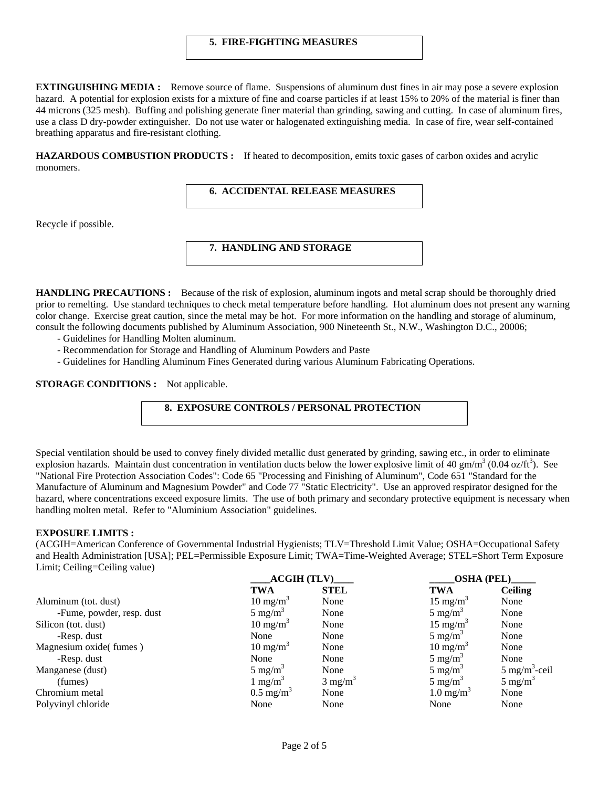### **5. FIRE-FIGHTING MEASURES**

**EXTINGUISHING MEDIA :** Remove source of flame. Suspensions of aluminum dust fines in air may pose a severe explosion hazard. A potential for explosion exists for a mixture of fine and coarse particles if at least 15% to 20% of the material is finer than 44 microns (325 mesh). Buffing and polishing generate finer material than grinding, sawing and cutting. In case of aluminum fires, use a class D dry-powder extinguisher. Do not use water or halogenated extinguishing media. In case of fire, wear self-contained breathing apparatus and fire-resistant clothing.

**HAZARDOUS COMBUSTION PRODUCTS :** If heated to decomposition, emits toxic gases of carbon oxides and acrylic monomers.

 **6. ACCIDENTAL RELEASE MEASURES** 

Recycle if possible.

# **7. HANDLING AND STORAGE**

**HANDLING PRECAUTIONS :** Because of the risk of explosion, aluminum ingots and metal scrap should be thoroughly dried prior to remelting. Use standard techniques to check metal temperature before handling. Hot aluminum does not present any warning color change. Exercise great caution, since the metal may be hot. For more information on the handling and storage of aluminum, consult the following documents published by Aluminum Association, 900 Nineteenth St., N.W., Washington D.C., 20006;

- Guidelines for Handling Molten aluminum.
- Recommendation for Storage and Handling of Aluminum Powders and Paste
- Guidelines for Handling Aluminum Fines Generated during various Aluminum Fabricating Operations.

**STORAGE CONDITIONS :** Not applicable.

# **8. EXPOSURE CONTROLS / PERSONAL PROTECTION**

Special ventilation should be used to convey finely divided metallic dust generated by grinding, sawing etc., in order to eliminate explosion hazards. Maintain dust concentration in ventilation ducts below the lower explosive limit of 40 gm/m<sup>3</sup> (0.04 oz/ft<sup>3</sup>). See "National Fire Protection Association Codes": Code 65 "Processing and Finishing of Aluminum", Code 651 "Standard for the Manufacture of Aluminum and Magnesium Powder" and Code 77 "Static Electricity". Use an approved respirator designed for the hazard, where concentrations exceed exposure limits. The use of both primary and secondary protective equipment is necessary when handling molten metal. Refer to "Aluminium Association" guidelines.

## **EXPOSURE LIMITS :**

(ACGIH=American Conference of Governmental Industrial Hygienists; TLV=Threshold Limit Value; OSHA=Occupational Safety and Health Administration [USA]; PEL=Permissible Exposure Limit; TWA=Time-Weighted Average; STEL=Short Term Exposure Limit; Ceiling=Ceiling value)

|                           | $ACGIH$ $(TLV)$      |                    | <b>OSHA (PEL)</b>    |                          |
|---------------------------|----------------------|--------------------|----------------------|--------------------------|
|                           | <b>TWA</b>           | <b>STEL</b>        | <b>TWA</b>           | <b>Ceiling</b>           |
| Aluminum (tot. dust)      | $10 \text{ mg/m}^3$  | None               | $15 \text{ mg/m}^3$  | None                     |
| -Fume, powder, resp. dust | $5 \text{ mg/m}^3$   | None               | $5 \text{ mg/m}^3$   | None                     |
| Silicon (tot. dust)       | $10 \text{ mg/m}^3$  | None               | $15 \text{ mg/m}^3$  | None                     |
| -Resp. dust               | None                 | None               | $5 \text{ mg/m}^3$   | None                     |
| Magnesium oxide(fumes)    | $10 \text{ mg/m}^3$  | None               | $10 \text{ mg/m}^3$  | None                     |
| -Resp. dust               | None                 | None               | $5 \text{ mg/m}^3$   | None                     |
| Manganese (dust)          | $5 \text{ mg/m}^3$   | None               | $5 \text{ mg/m}^3$   | $5 \text{ mg/m}^3$ -ceil |
| (fumes)                   | 1 mg/m <sup>3</sup>  | $3 \text{ mg/m}^3$ | $5 \text{ mg/m}^3$   | $5 \text{ mg/m}^3$       |
| Chromium metal            | $0.5 \text{ mg/m}^3$ | None               | $1.0 \text{ mg/m}^3$ | None                     |
| Polyvinyl chloride        | None                 | None               | None                 | None                     |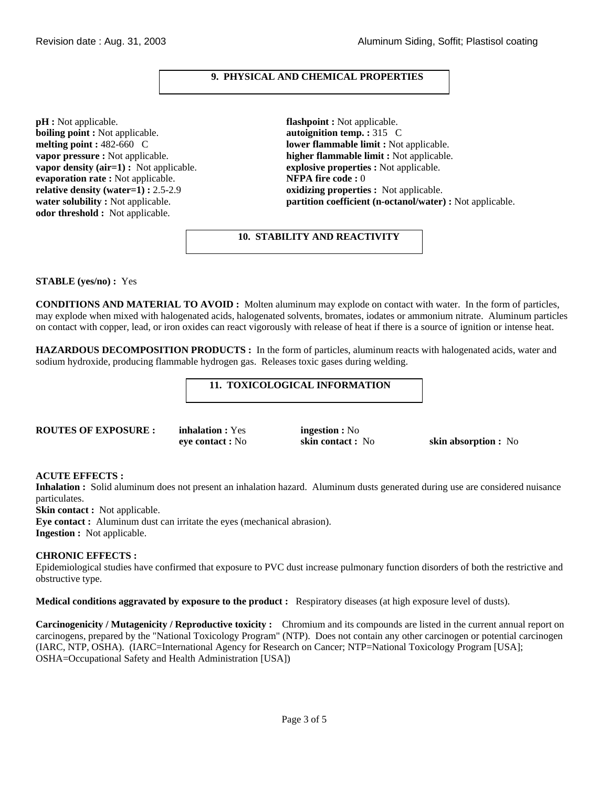# **9. PHYSICAL AND CHEMICAL PROPERTIES**

**pH :** Not applicable. **flashpoint :** Not applicable. **boiling point :** Not applicable. **autoignition temp. :** 315 C **vapor density (air=1) :** Not applicable. **explosive properties :** Not applicable. **evaporation rate :** Not applicable. **evaporation rate :** Not applicable. **evaporation rate :** Not applicable. **relative density (water=1) : 2.5-2.9 <b>oxidizing properties :** Not applicable. **odor threshold :** Not applicable.

**melting point : 482-660 C lower flammable limit :** Not applicable. **vapor pressure :** Not applicable. **higher flammable limit :** Not applicable. **water solubility :** Not applicable. **partition coefficient (n-octanol/water) :** Not applicable.

 **10. STABILITY AND REACTIVITY** 

## **STABLE (yes/no) :** Yes

**CONDITIONS AND MATERIAL TO AVOID :** Molten aluminum may explode on contact with water. In the form of particles, may explode when mixed with halogenated acids, halogenated solvents, bromates, iodates or ammonium nitrate. Aluminum particles on contact with copper, lead, or iron oxides can react vigorously with release of heat if there is a source of ignition or intense heat.

**HAZARDOUS DECOMPOSITION PRODUCTS :** In the form of particles, aluminum reacts with halogenated acids, water and sodium hydroxide, producing flammable hydrogen gas. Releases toxic gases during welding.

# **11. TOXICOLOGICAL INFORMATION**

**ROUTES OF EXPOSURE : inhalation :** Yes **ingestion :** No

**eye contact :** No **skin contact :** No **skin absorption :** No

### **ACUTE EFFECTS :**

**Inhalation :** Solid aluminum does not present an inhalation hazard. Aluminum dusts generated during use are considered nuisance particulates.

**Skin contact :** Not applicable.

**Eye contact :** Aluminum dust can irritate the eyes (mechanical abrasion).

**Ingestion :** Not applicable.

## **CHRONIC EFFECTS :**

Epidemiological studies have confirmed that exposure to PVC dust increase pulmonary function disorders of both the restrictive and obstructive type.

**Medical conditions aggravated by exposure to the product :** Respiratory diseases (at high exposure level of dusts).

**Carcinogenicity / Mutagenicity / Reproductive toxicity :** Chromium and its compounds are listed in the current annual report on carcinogens, prepared by the "National Toxicology Program" (NTP). Does not contain any other carcinogen or potential carcinogen (IARC, NTP, OSHA). (IARC=International Agency for Research on Cancer; NTP=National Toxicology Program [USA]; OSHA=Occupational Safety and Health Administration [USA])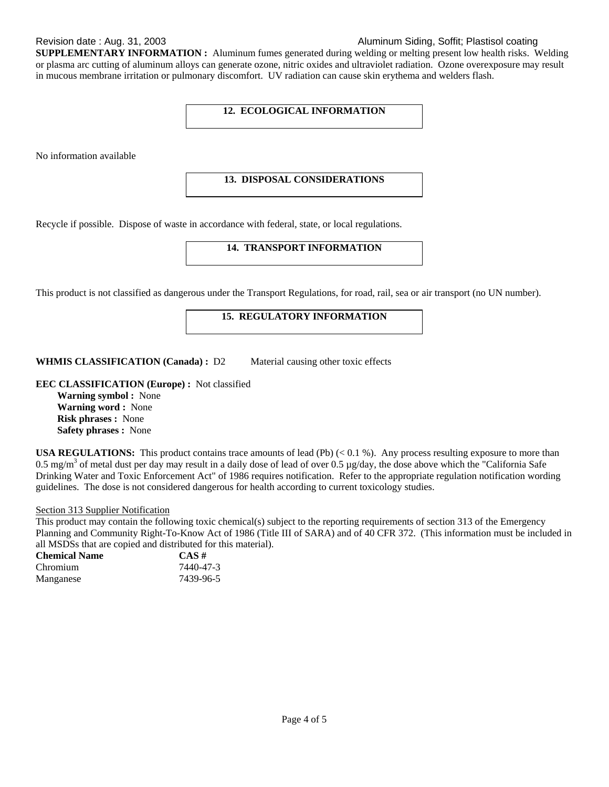# Revision date : Aug. 31, 2003 Aluminum Siding, Soffit; Plastisol coating

**SUPPLEMENTARY INFORMATION :** Aluminum fumes generated during welding or melting present low health risks. Welding or plasma arc cutting of aluminum alloys can generate ozone, nitric oxides and ultraviolet radiation. Ozone overexposure may result in mucous membrane irritation or pulmonary discomfort. UV radiation can cause skin erythema and welders flash.

# **12. ECOLOGICAL INFORMATION**

No information available

## **13. DISPOSAL CONSIDERATIONS**

Recycle if possible. Dispose of waste in accordance with federal, state, or local regulations.

## **14. TRANSPORT INFORMATION**

This product is not classified as dangerous under the Transport Regulations, for road, rail, sea or air transport (no UN number).

# **15. REGULATORY INFORMATION**

**WHMIS CLASSIFICATION (Canada) :** D2 Material causing other toxic effects

**EEC CLASSIFICATION (Europe) :** Not classified

**Warning symbol :** None **Warning word :** None **Risk phrases :** None **Safety phrases :** None

**USA REGULATIONS:** This product contains trace amounts of lead (Pb)  $( $0.1\%$ ). Any process resulting exposure to more than$ 0.5 mg/m<sup>3</sup> of metal dust per day may result in a daily dose of lead of over 0.5 µg/day, the dose above which the "California Safe" Drinking Water and Toxic Enforcement Act" of 1986 requires notification. Refer to the appropriate regulation notification wording guidelines. The dose is not considered dangerous for health according to current toxicology studies.

# Section 313 Supplier Notification

This product may contain the following toxic chemical(s) subject to the reporting requirements of section 313 of the Emergency Planning and Community Right-To-Know Act of 1986 (Title III of SARA) and of 40 CFR 372. (This information must be included in all MSDSs that are copied and distributed for this material).

| <b>Chemical Name</b> | $CAS \#$  |
|----------------------|-----------|
| Chromium             | 7440-47-3 |
| Manganese            | 7439-96-5 |